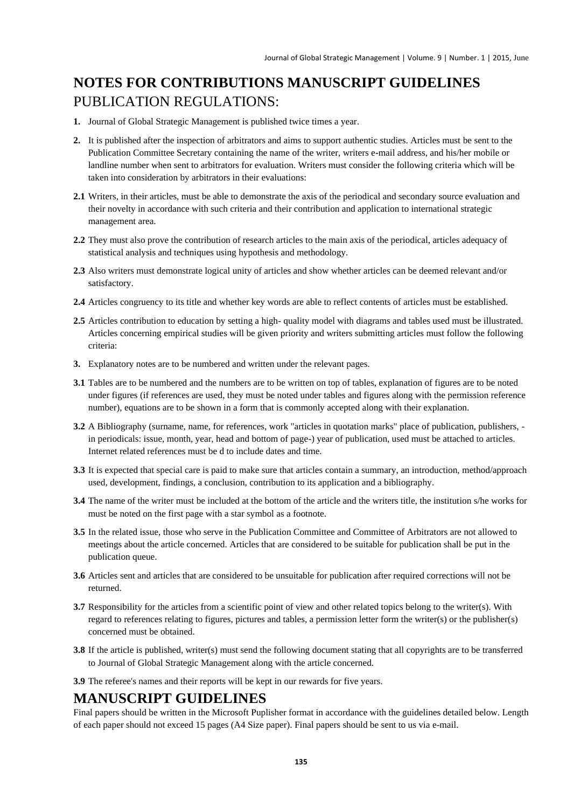# **NOTES FOR CONTRIBUTIONS MANUSCRIPT GUIDELINES** PUBLICATION REGULATIONS:

- **1.** Journal of Global Strategic Management is published twice times a year.
- **2.** It is published after the inspection of arbitrators and aims to support authentic studies. Articles must be sent to the Publication Committee Secretary containing the name of the writer, writers e-mail address, and his/her mobile or landline number when sent to arbitrators for evaluation. Writers must consider the following criteria which will be taken into consideration by arbitrators in their evaluations:
- **2.1** Writers, in their articles, must be able to demonstrate the axis of the periodical and secondary source evaluation and their novelty in accordance with such criteria and their contribution and application to international strategic management area.
- **2.2** They must also prove the contribution of research articles to the main axis of the periodical, articles adequacy of statistical analysis and techniques using hypothesis and methodology.
- **2.3** Also writers must demonstrate logical unity of articles and show whether articles can be deemed relevant and/or satisfactory.
- **2.4** Articles congruency to its title and whether key words are able to reflect contents of articles must be established.
- **2.5** Articles contribution to education by setting a high- quality model with diagrams and tables used must be illustrated. Articles concerning empirical studies will be given priority and writers submitting articles must follow the following criteria:
- **3.** Explanatory notes are to be numbered and written under the relevant pages.
- **3.1** Tables are to be numbered and the numbers are to be written on top of tables, explanation of figures are to be noted under figures (if references are used, they must be noted under tables and figures along with the permission reference number), equations are to be shown in a form that is commonly accepted along with their explanation.
- **3.2** A Bibliography (surname, name, for references, work "articles in quotation marks" place of publication, publishers, in periodicals: issue, month, year, head and bottom of page-) year of publication, used must be attached to articles. Internet related references must be d to include dates and time.
- **3.3** It is expected that special care is paid to make sure that articles contain a summary, an introduction, method/approach used, development, findings, a conclusion, contribution to its application and a bibliography.
- **3.4** The name of the writer must be included at the bottom of the article and the writers title, the institution s/he works for must be noted on the first page with a star symbol as a footnote.
- **3.5** In the related issue, those who serve in the Publication Committee and Committee of Arbitrators are not allowed to meetings about the article concerned. Articles that are considered to be suitable for publication shall be put in the publication queue.
- **3.6** Articles sent and articles that are considered to be unsuitable for publication after required corrections will not be returned.
- **3.7** Responsibility for the articles from a scientific point of view and other related topics belong to the writer(s). With regard to references relating to figures, pictures and tables, a permission letter form the writer(s) or the publisher(s) concerned must be obtained.
- **3.8** If the article is published, writer(s) must send the following document stating that all copyrights are to be transferred to Journal of Global Strategic Management along with the article concerned.
- **3.9** The referee's names and their reports will be kept in our rewards for five years.

# **MANUSCRIPT GUIDELINES**

Final papers should be written in the Microsoft Puplisher format in accordance with the guidelines detailed below. Length of each paper should not exceed 15 pages (A4 Size paper). Final papers should be sent to us via e-mail.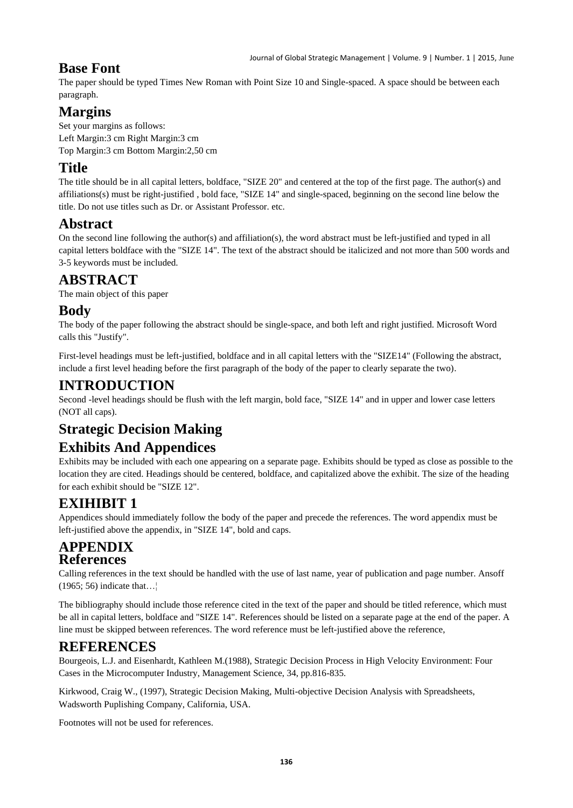### **Base Font**

The paper should be typed Times New Roman with Point Size 10 and Single-spaced. A space should be between each paragraph.

# **Margins**

Set your margins as follows: Left Margin:3 cm Right Margin:3 cm Top Margin:3 cm Bottom Margin:2,50 cm

## **Title**

The title should be in all capital letters, boldface, "SIZE 20" and centered at the top of the first page. The author(s) and affiliations(s) must be right-justified , bold face, "SIZE 14" and single-spaced, beginning on the second line below the title. Do not use titles such as Dr. or Assistant Professor. etc.

## **Abstract**

On the second line following the author(s) and affiliation(s), the word abstract must be left-justified and typed in all capital letters boldface with the "SIZE 14". The text of the abstract should be italicized and not more than 500 words and 3-5 keywords must be included.

# **ABSTRACT**

The main object of this paper

### **Body**

The body of the paper following the abstract should be single-space, and both left and right justified. Microsoft Word calls this "Justify".

First-level headings must be left-justified, boldface and in all capital letters with the "SIZE14" (Following the abstract, include a first level heading before the first paragraph of the body of the paper to clearly separate the two).

### **INTRODUCTION**

Second -level headings should be flush with the left margin, bold face, "SIZE 14" and in upper and lower case letters (NOT all caps).

# **Strategic Decision Making**

# **Exhibits And Appendices**

Exhibits may be included with each one appearing on a separate page. Exhibits should be typed as close as possible to the location they are cited. Headings should be centered, boldface, and capitalized above the exhibit. The size of the heading for each exhibit should be "SIZE 12".

# **EXIHIBIT 1**

Appendices should immediately follow the body of the paper and precede the references. The word appendix must be left-justified above the appendix, in "SIZE 14", bold and caps.

#### **APPENDIX References**

Calling references in the text should be handled with the use of last name, year of publication and page number. Ansoff (1965; 56) indicate that…¦

The bibliography should include those reference cited in the text of the paper and should be titled reference, which must be all in capital letters, boldface and "SIZE 14". References should be listed on a separate page at the end of the paper. A line must be skipped between references. The word reference must be left-justified above the reference,

# **REFERENCES**

Bourgeois, L.J. and Eisenhardt, Kathleen M.(1988), Strategic Decision Process in High Velocity Environment: Four Cases in the Microcomputer Industry, Management Science, 34, pp.816-835.

Kirkwood, Craig W., (1997), Strategic Decision Making, Multi-objective Decision Analysis with Spreadsheets, Wadsworth Puplishing Company, California, USA.

Footnotes will not be used for references.